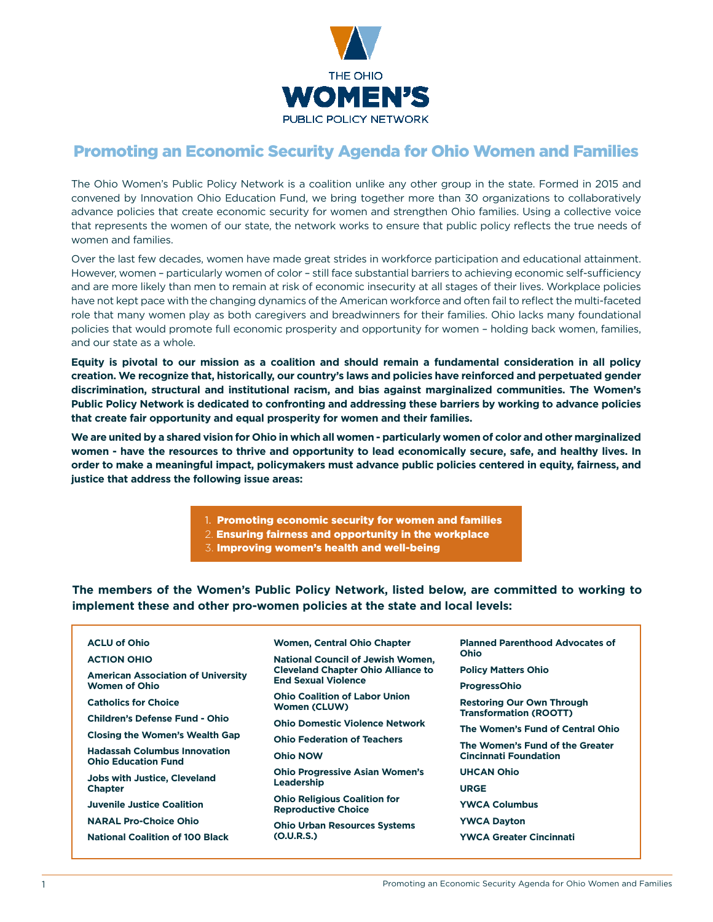

# Promoting an Economic Security Agenda for Ohio Women and Families

The Ohio Women's Public Policy Network is a coalition unlike any other group in the state. Formed in 2015 and convened by Innovation Ohio Education Fund, we bring together more than 30 organizations to collaboratively advance policies that create economic security for women and strengthen Ohio families. Using a collective voice that represents the women of our state, the network works to ensure that public policy reflects the true needs of women and families.

Over the last few decades, women have made great strides in workforce participation and educational attainment. However, women – particularly women of color – still face substantial barriers to achieving economic self-sufficiency and are more likely than men to remain at risk of economic insecurity at all stages of their lives. Workplace policies have not kept pace with the changing dynamics of the American workforce and often fail to reflect the multi-faceted role that many women play as both caregivers and breadwinners for their families. Ohio lacks many foundational policies that would promote full economic prosperity and opportunity for women – holding back women, families, and our state as a whole.

**Equity is pivotal to our mission as a coalition and should remain a fundamental consideration in all policy creation. We recognize that, historically, our country's laws and policies have reinforced and perpetuated gender discrimination, structural and institutional racism, and bias against marginalized communities. The Women's Public Policy Network is dedicated to confronting and addressing these barriers by working to advance policies that create fair opportunity and equal prosperity for women and their families.** 

**We are united by a shared vision for Ohio in which all women - particularly women of color and other marginalized women - have the resources to thrive and opportunity to lead economically secure, safe, and healthy lives. In order to make a meaningful impact, policymakers must advance public policies centered in equity, fairness, and justice that address the following issue areas:**

- 1. Promoting economic security for women and families
- 2. Ensuring fairness and opportunity in the workplace
- 3. Improving women's health and well-being

**The members of the Women's Public Policy Network, listed below, are committed to working to implement these and other pro-women policies at the state and local levels:**

# **ACLU of Ohio**

### **ACTION OHIO**

**American Association of University Women of Ohio** 

**Catholics for Choice** 

**Children's Defense Fund - Ohio** 

**Closing the Women's Wealth Gap** 

**Hadassah Columbus Innovation Ohio Education Fund** 

**Jobs with Justice, Cleveland Chapter** 

**Juvenile Justice Coalition**

**NARAL Pro-Choice Ohio** 

**National Coalition of 100 Black** 

**Women, Central Ohio Chapter** 

**National Council of Jewish Women, Cleveland Chapter Ohio Alliance to End Sexual Violence** 

**Ohio Coalition of Labor Union Women (CLUW)** 

**Ohio Domestic Violence Network** 

**Ohio Federation of Teachers**

**Ohio NOW** 

**Ohio Progressive Asian Women's Leadership** 

**Ohio Religious Coalition for Reproductive Choice** 

**Ohio Urban Resources Systems (O.U.R.S.)** 

**Planned Parenthood Advocates of Ohio** 

**Policy Matters Ohio** 

**ProgressOhio** 

**Restoring Our Own Through Transformation (ROOTT)** 

**The Women's Fund of Central Ohio** 

**The Women's Fund of the Greater Cincinnati Foundation** 

**UHCAN Ohio**

**URGE** 

**YWCA Columbus** 

**YWCA Dayton**

**YWCA Greater Cincinnati**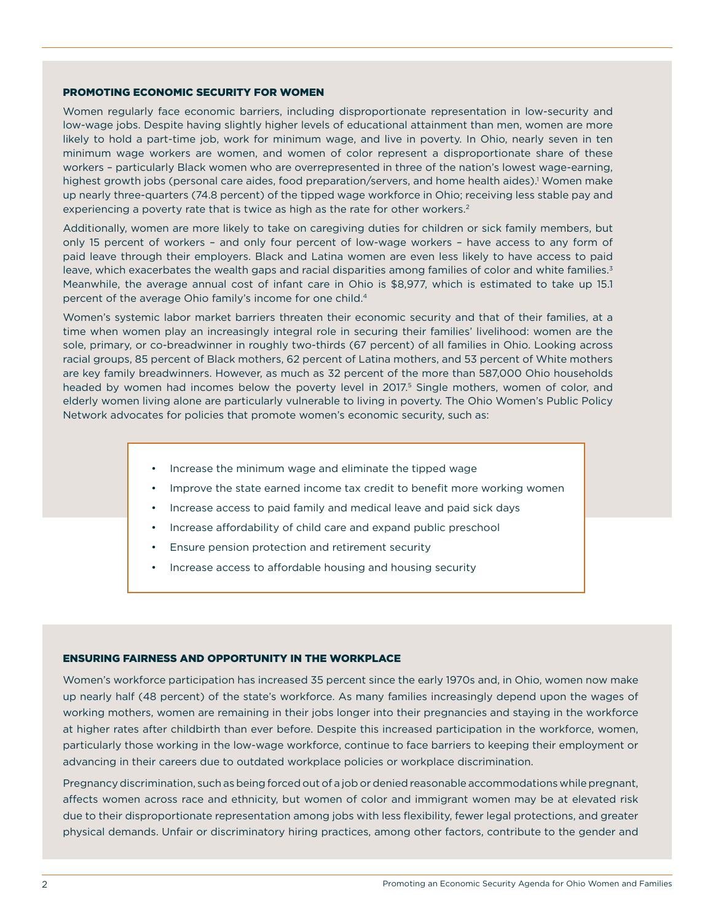## PROMOTING ECONOMIC SECURITY FOR WOMEN

Women regularly face economic barriers, including disproportionate representation in low-security and low-wage jobs. Despite having slightly higher levels of educational attainment than men, women are more likely to hold a part-time job, work for minimum wage, and live in poverty. In Ohio, nearly seven in ten minimum wage workers are women, and women of color represent a disproportionate share of these workers – particularly Black women who are overrepresented in three of the nation's lowest wage-earning, highest growth jobs (personal care aides, food preparation/servers, and home health aides).<sup>1</sup> Women make up nearly three-quarters (74.8 percent) of the tipped wage workforce in Ohio; receiving less stable pay and experiencing a poverty rate that is twice as high as the rate for other workers.<sup>2</sup>

Additionally, women are more likely to take on caregiving duties for children or sick family members, but only 15 percent of workers – and only four percent of low-wage workers – have access to any form of paid leave through their employers. Black and Latina women are even less likely to have access to paid leave, which exacerbates the wealth gaps and racial disparities among families of color and white families.<sup>3</sup> Meanwhile, the average annual cost of infant care in Ohio is \$8,977, which is estimated to take up 15.1 percent of the average Ohio family's income for one child.4

Women's systemic labor market barriers threaten their economic security and that of their families, at a time when women play an increasingly integral role in securing their families' livelihood: women are the sole, primary, or co-breadwinner in roughly two-thirds (67 percent) of all families in Ohio. Looking across racial groups, 85 percent of Black mothers, 62 percent of Latina mothers, and 53 percent of White mothers are key family breadwinners. However, as much as 32 percent of the more than 587,000 Ohio households headed by women had incomes below the poverty level in 2017.<sup>5</sup> Single mothers, women of color, and elderly women living alone are particularly vulnerable to living in poverty. The Ohio Women's Public Policy Network advocates for policies that promote women's economic security, such as:

- Increase the minimum wage and eliminate the tipped wage
- Improve the state earned income tax credit to benefit more working women
- Increase access to paid family and medical leave and paid sick days
- Increase affordability of child care and expand public preschool
- Ensure pension protection and retirement security
- Increase access to affordable housing and housing security

# ENSURING FAIRNESS AND OPPORTUNITY IN THE WORKPLACE

Women's workforce participation has increased 35 percent since the early 1970s and, in Ohio, women now make up nearly half (48 percent) of the state's workforce. As many families increasingly depend upon the wages of working mothers, women are remaining in their jobs longer into their pregnancies and staying in the workforce at higher rates after childbirth than ever before. Despite this increased participation in the workforce, women, particularly those working in the low-wage workforce, continue to face barriers to keeping their employment or advancing in their careers due to outdated workplace policies or workplace discrimination.

Pregnancy discrimination, such as being forced out of a job or denied reasonable accommodations while pregnant, affects women across race and ethnicity, but women of color and immigrant women may be at elevated risk due to their disproportionate representation among jobs with less flexibility, fewer legal protections, and greater physical demands. Unfair or discriminatory hiring practices, among other factors, contribute to the gender and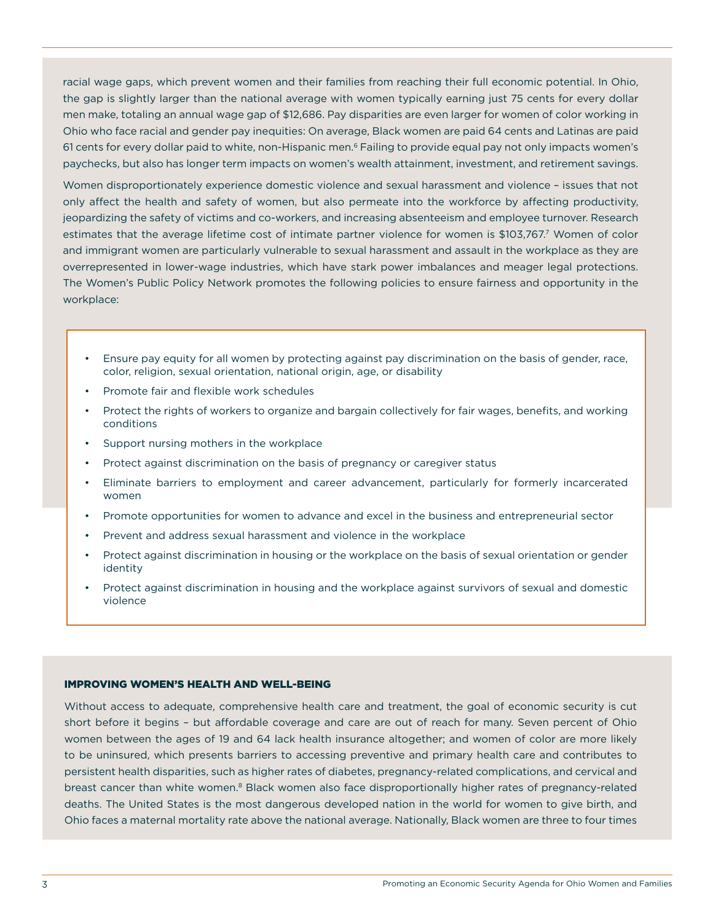racial wage gaps, which prevent women and their families from reaching their full economic potential. In Ohio, the gap is slightly larger than the national average with women typically earning just 75 cents for every dollar men make, totaling an annual wage gap of \$12,686. Pay disparities are even larger for women of color working in Ohio who face racial and gender pay inequities: On average, Black women are paid 64 cents and Latinas are paid 61 cents for every dollar paid to white, non-Hispanic men.<sup>6</sup> Failing to provide equal pay not only impacts women's paychecks, but also has longer term impacts on women's wealth attainment, investment, and retirement savings.

Women disproportionately experience domestic violence and sexual harassment and violence – issues that not only affect the health and safety of women, but also permeate into the workforce by affecting productivity, jeopardizing the safety of victims and co-workers, and increasing absenteeism and employee turnover. Research estimates that the average lifetime cost of intimate partner violence for women is \$103,767.<sup>7</sup> Women of color and immigrant women are particularly vulnerable to sexual harassment and assault in the workplace as they are overrepresented in lower-wage industries, which have stark power imbalances and meager legal protections. The Women's Public Policy Network promotes the following policies to ensure fairness and opportunity in the workplace:

- Ensure pay equity for all women by protecting against pay discrimination on the basis of gender, race, color, religion, sexual orientation, national origin, age, or disability
- Promote fair and flexible work schedules
- Protect the rights of workers to organize and bargain collectively for fair wages, benefits, and working conditions
- Support nursing mothers in the workplace
- Protect against discrimination on the basis of pregnancy or caregiver status
- Eliminate barriers to employment and career advancement, particularly for formerly incarcerated women
- Promote opportunities for women to advance and excel in the business and entrepreneurial sector
- Prevent and address sexual harassment and violence in the workplace
- Protect against discrimination in housing or the workplace on the basis of sexual orientation or gender identity
- Protect against discrimination in housing and the workplace against survivors of sexual and domestic violence

#### IMPROVING WOMEN'S HEALTH AND WELL-BEING

Without access to adequate, comprehensive health care and treatment, the goal of economic security is cut short before it begins – but affordable coverage and care are out of reach for many. Seven percent of Ohio women between the ages of 19 and 64 lack health insurance altogether; and women of color are more likely to be uninsured, which presents barriers to accessing preventive and primary health care and contributes to persistent health disparities, such as higher rates of diabetes, pregnancy-related complications, and cervical and breast cancer than white women.<sup>8</sup> Black women also face disproportionally higher rates of pregnancy-related deaths. The United States is the most dangerous developed nation in the world for women to give birth, and Ohio faces a maternal mortality rate above the national average. Nationally, Black women are three to four times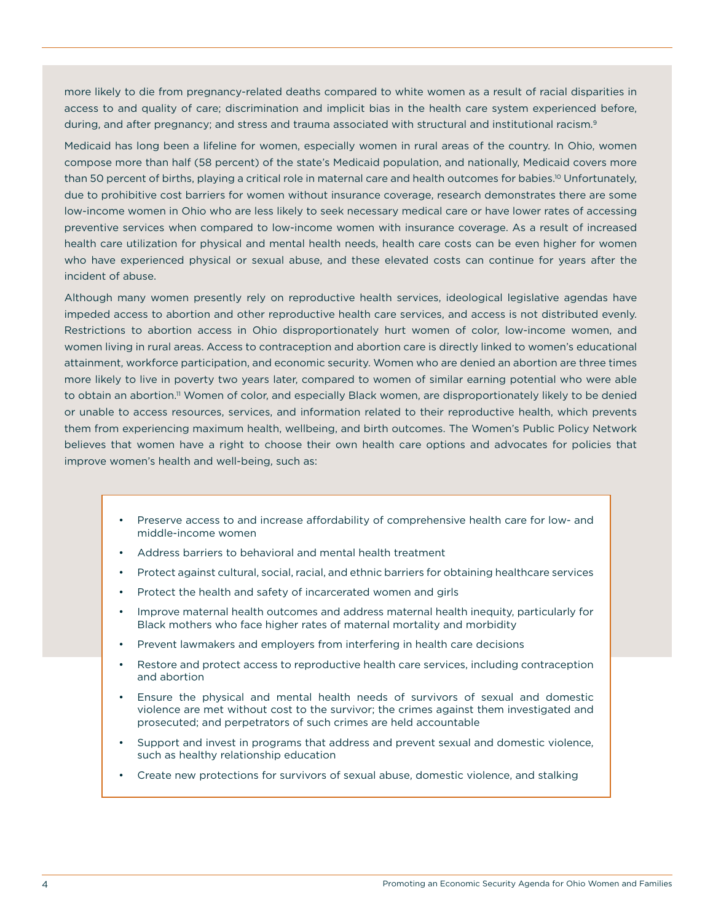more likely to die from pregnancy-related deaths compared to white women as a result of racial disparities in access to and quality of care; discrimination and implicit bias in the health care system experienced before, during, and after pregnancy; and stress and trauma associated with structural and institutional racism.<sup>9</sup>

Medicaid has long been a lifeline for women, especially women in rural areas of the country. In Ohio, women compose more than half (58 percent) of the state's Medicaid population, and nationally, Medicaid covers more than 50 percent of births, playing a critical role in maternal care and health outcomes for babies.<sup>10</sup> Unfortunately, due to prohibitive cost barriers for women without insurance coverage, research demonstrates there are some low-income women in Ohio who are less likely to seek necessary medical care or have lower rates of accessing preventive services when compared to low-income women with insurance coverage. As a result of increased health care utilization for physical and mental health needs, health care costs can be even higher for women who have experienced physical or sexual abuse, and these elevated costs can continue for years after the incident of abuse.

Although many women presently rely on reproductive health services, ideological legislative agendas have impeded access to abortion and other reproductive health care services, and access is not distributed evenly. Restrictions to abortion access in Ohio disproportionately hurt women of color, low-income women, and women living in rural areas. Access to contraception and abortion care is directly linked to women's educational attainment, workforce participation, and economic security. Women who are denied an abortion are three times more likely to live in poverty two years later, compared to women of similar earning potential who were able to obtain an abortion.<sup>11</sup> Women of color, and especially Black women, are disproportionately likely to be denied or unable to access resources, services, and information related to their reproductive health, which prevents them from experiencing maximum health, wellbeing, and birth outcomes. The Women's Public Policy Network believes that women have a right to choose their own health care options and advocates for policies that improve women's health and well-being, such as:

- Preserve access to and increase affordability of comprehensive health care for low- and middle-income women
- Address barriers to behavioral and mental health treatment
- Protect against cultural, social, racial, and ethnic barriers for obtaining healthcare services
- Protect the health and safety of incarcerated women and girls
- Improve maternal health outcomes and address maternal health inequity, particularly for Black mothers who face higher rates of maternal mortality and morbidity
- Prevent lawmakers and employers from interfering in health care decisions
- Restore and protect access to reproductive health care services, including contraception and abortion
- Ensure the physical and mental health needs of survivors of sexual and domestic violence are met without cost to the survivor; the crimes against them investigated and prosecuted; and perpetrators of such crimes are held accountable
- Support and invest in programs that address and prevent sexual and domestic violence, such as healthy relationship education
- Create new protections for survivors of sexual abuse, domestic violence, and stalking